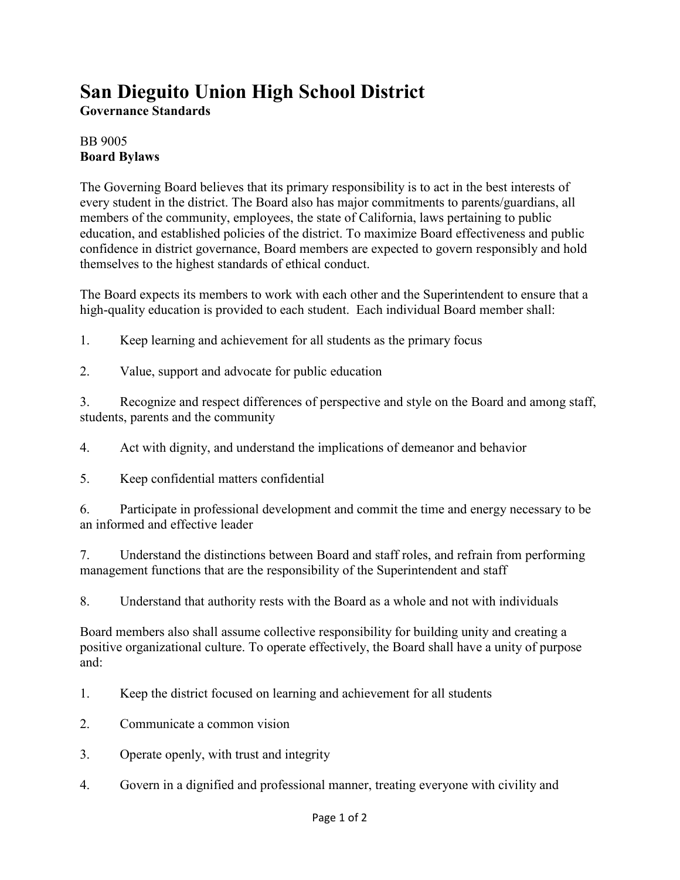## **San Dieguito Union High School District**

**Governance Standards**

## BB 9005 **Board Bylaws**

The Governing Board believes that its primary responsibility is to act in the best interests of every student in the district. The Board also has major commitments to parents/guardians, all members of the community, employees, the state of California, laws pertaining to public education, and established policies of the district. To maximize Board effectiveness and public confidence in district governance, Board members are expected to govern responsibly and hold themselves to the highest standards of ethical conduct.

The Board expects its members to work with each other and the Superintendent to ensure that a high-quality education is provided to each student. Each individual Board member shall:

- 1. Keep learning and achievement for all students as the primary focus
- 2. Value, support and advocate for public education

3. Recognize and respect differences of perspective and style on the Board and among staff, students, parents and the community

4. Act with dignity, and understand the implications of demeanor and behavior

5. Keep confidential matters confidential

6. Participate in professional development and commit the time and energy necessary to be an informed and effective leader

7. Understand the distinctions between Board and staff roles, and refrain from performing management functions that are the responsibility of the Superintendent and staff

8. Understand that authority rests with the Board as a whole and not with individuals

Board members also shall assume collective responsibility for building unity and creating a positive organizational culture. To operate effectively, the Board shall have a unity of purpose and:

- 1. Keep the district focused on learning and achievement for all students
- 2. Communicate a common vision
- 3. Operate openly, with trust and integrity
- 4. Govern in a dignified and professional manner, treating everyone with civility and